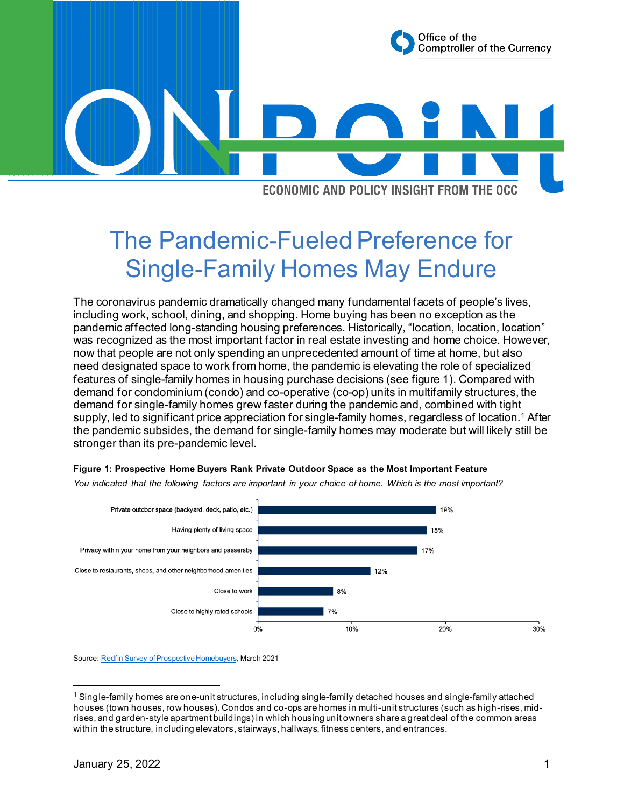

**ECONOMIC AND POLICY INSIGHT FROM THE OCC** 

# The Pandemic-Fueled Preference for Single-Family Homes May Endure

 was recognized as the most important factor in real estate investing and home choice. However, now that people are not only spending an unprecedented amount of time at home, but also need designated space to work from home, the pandemic is elevating the role of specialized features of single-family homes in housing purchase decisions (see figure 1). Compared with demand for condominium (condo) and co-operative (co-op) units in multifamily structures, the demand for single-family homes grew faster during the pandemic and, combined with tight the pandemic subsides, the demand for single-family homes may moderate but will likely still be The coronavirus pandemic dramatically changed many fundamental facets of people's lives, including work, school, dining, and shopping. Home buying has been no exception as the pandemic affected long-standing housing preferences. Historically, "location, location, location" supply, led to significant price appreciation for single-family homes, regardless of location.[1](#page-0-0) After stronger than its pre-pandemic level.



*You indicated that the following factors are important in your choice of home. Which is the most important?* 

**Figure 1: Prospective Home Buyers Rank Private Outdoor Space as the Most Important Feature** 

Source[: Redfin Survey of Prospective Homebuyers,](https://www.redfin.com/news/millennial-homebuyers-down-payment-preferences/) March 2021

<span id="page-0-0"></span> rises, and garden-style apartment buildings) in which housing unit owners share a great deal of the common areas  $1$  Single-family homes are one-unit structures, including single-family detached houses and single-family attached houses (town houses, row houses). Condos and co-ops are homes in multi-unit structures (such as high-rises, midwithin the structure, including elevators, stairways, hallways, fitness centers, and entrances.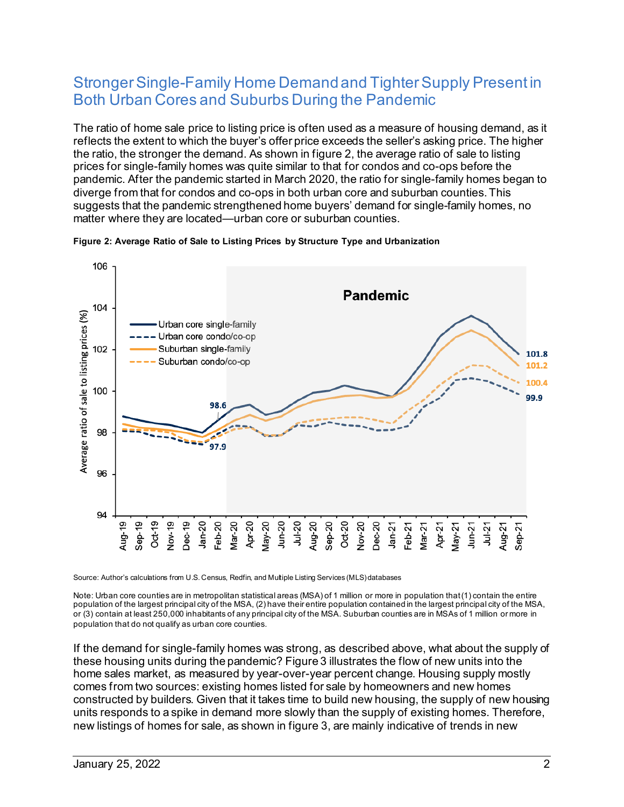### Stronger Single-Family Home Demand and Tighter Supply Present in Both Urban Cores and Suburbs During the Pandemic

 prices for single-family homes was quite similar to that for condos and co-ops before the suggests that the pandemic strengthened home buyers' demand for single-family homes, no The ratio of home sale price to listing price is often used as a measure of housing demand, as it reflects the extent to which the buyer's offer price exceeds the seller's asking price. The higher the ratio, the stronger the [demand. As](https://demand.As) shown in figure 2, the average ratio of sale to listing pandemic. After the pandemic started in March 2020, the ratio for single-family homes began to diverge from that for condos and co-ops in both urban core and suburban counties. This matter where they are located—urban core or suburban counties.



**Figure 2: Average Ratio of Sale to Listing Prices by Structure Type and Urbanization** 

Source: Author's calculations from U.S. Census, Redfin, and Multiple Listing Services (MLS) databases

 Note: Urban core counties are in metropolitan statistical areas (MSA) of 1 million or more in population that(1) contain the entire or (3) contain at least 250,000 inhabitants of any principal city of the MSA. Suburban counties are in MSAs of 1 million or more in population of the largest principal city of the MSA, (2) have their entire population contained in the largest principal city of the MSA, population that do not qualify as urban core counties.

 new listings of homes for sale, as shown in figure 3, are mainly indicative of trends in new If the demand for single-family homes was strong, as described above, what about the supply of these housing units during the pandemic? Figure 3 illustrates the flow of new units into the home sales market, as measured by year-over-year percent change. Housing supply mostly comes from two sources: existing homes listed for sale by homeowners and new homes constructed by builders. Given that it takes time to build new housing, the supply of new housing units responds to a spike in demand more slowly than the supply of existing homes. Therefore,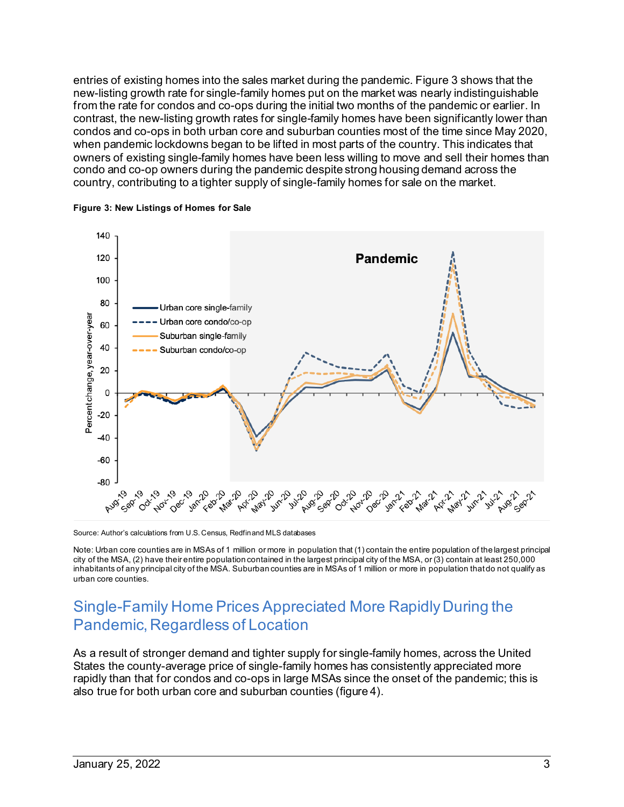new-listing growth rate for single-family homes put on the market was nearly indistinguishable condos and co-ops in both urban core and suburban counties most of the time since May 2020, when pandemic lockdowns began to be lifted in most parts of the country. This indicates that entries of existing homes into the sales market during the pandemic. Figure 3 shows that the from the rate for condos and co-ops during the initial two months of the pandemic or earlier. In contrast, the new-listing growth rates for single-family homes have been significantly lower than owners of existing single-family homes have been less willing to move and sell their homes than condo and co-op owners during the pandemic despite strong housing demand across the country, contributing to a tighter supply of single-family homes for sale on the market.



**Figure 3: New Listings of Homes for Sale** 

Source: Author's calculations from U.S. Census, Redfin and MLS databases

 Note: Urban core counties are in MSAs of 1 million or more in population that (1) contain the entire population of the largest principal city of the MSA, (2) have their entire population contained in the largest principal city of the MSA, or (3) contain at least 250,000 inhabitants of any principal city of the MSA. Suburban counties are in MSAs of 1 million or more in population that do not qualify as urban core counties.

### Single-Family Home Prices Appreciated More RapidlyDuring the Pandemic, Regardless of Location

 As a result of stronger demand and tighter supply for single-family homes, across the United also true for both urban core and suburban counties (figure 4). States the county-average price of single-family homes has consistently appreciated more rapidly than that for condos and co-ops in large MSAs since the onset of the pandemic; this is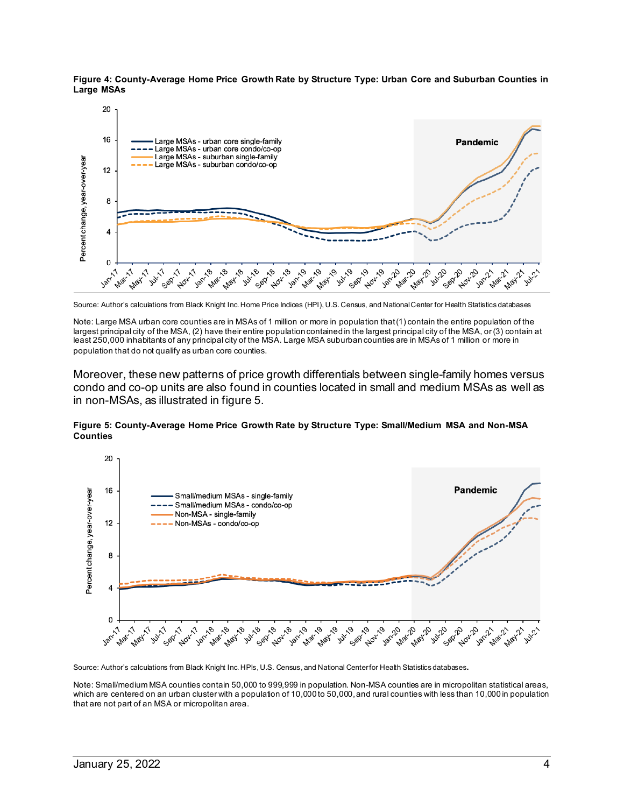**Figure 4: County-Average Home Price Growth Rate by Structure Type: Urban Core and Suburban Counties in Large MSAs** 



Source: Author's calculations from Black Knight Inc. Home Price Indices (HPI), U.S. Census, and National Center for Health Statistics databases

Note: Large MSA urban core counties are in MSAs of 1 million or more in population that(1) contain the entire population of the largest principal city of the MSA, (2) have their entire population contained in the largest principal city of the MSA, or (3) contain at least 250,000 inhabitants of any principal city of the MSA. Large MSA suburban counties are in MSAs of 1 million or more in population that do not qualify as urban core counties.

 condo and co-op units are also found in counties located in small and medium MSAs as well as Moreover, these new patterns of price growth differentials between single-family homes versus in non-MSAs, as illustrated in figure 5.

#### **Figure 5: County-Average Home Price Growth Rate by Structure Type: Small/Medium MSA and Non-MSA Counties**



Source: Author's calculations from Black Knight Inc. HPIs, U.S. Census, and National Center for Health Statistics databases.

Note: Small/medium MSA counties contain 50,000 to 999,999 in population. Non-MSA counties are in micropolitan statistical areas, which are centered on an urban cluster with a population of 10,000 to 50,000,and rural counties with less than 10,000 in population that are not part of an MSA or micropolitan area.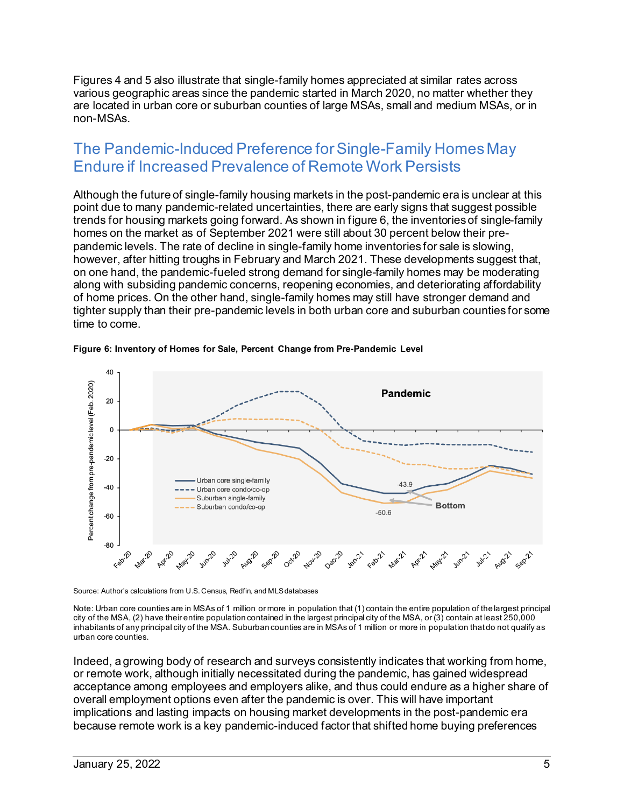Figures 4 and 5 also illustrate that single-family homes appreciated at similar rates across are located in urban core or suburban counties of large MSAs, small and medium MSAs, or in various geographic areas since the pandemic started in March 2020, no matter whether they non-MSAs.

### The Pandemic-Induced Preference forSingle-Family HomesMay Endure if Increased Prevalence of Remote Work Persists

 Although the future of single-family housing markets in the post-pandemic era is unclear at this homes on the market as of September 2021 were still about 30 percent below their pre- pandemic levels. The rate of decline in single-family home inventories for sale is slowing, however, after hitting troughs in February and March 2021. These developments suggest that, of home prices. On the other hand, single-family homes may still have stronger demand and tighter supply than their pre-pandemic levels in both urban core and suburban counties for some point due to many pandemic-related uncertainties, there are early signs that suggest possible trends for housing markets going [forward. As](https://forward.As) shown in figure 6, the inventories of single-family on one hand, the pandemic-fueled strong demand for single-family homes may be moderating along with subsiding pandemic concerns, reopening economies, and deteriorating affordability time to come.



#### **Figure 6: Inventory of Homes for Sale, Percent Change from Pre-Pandemic Level**

Source: Author's calculations from U.S. Census, Redfin, and MLS databases

Note: Urban core counties are in MSAs of 1 million or more in population that (1) contain the entire population of the largest principal city of the MSA, (2) have their entire population contained in the largest principal city of the MSA, or (3) contain at least 250,000 inhabitants of any principal city of the MSA. Suburban counties are in MSAs of 1 million or more in population that do not qualify as urban core counties.

 Indeed, a growing body of research and surveys consistently indicates that working from home, because remote work is a key pandemic-induced factor that shifted home buying preferences or remote work, although initially necessitated during the pandemic, has gained widespread acceptance among employees and employers alike, and thus could endure as a higher share of overall employment options even after the pandemic is over. This will have important implications and lasting impacts on housing market developments in the post-pandemic era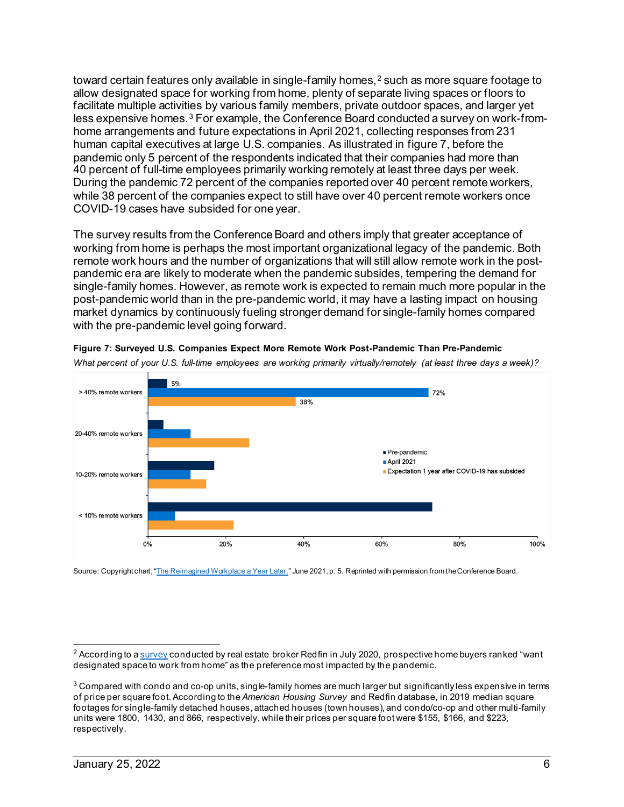toward certain features only available in single-family homes, $^{\rm 2}$  $^{\rm 2}$  $^{\rm 2}$  such as more square footage to allow designated space for working from home, plenty of separate living spaces or floors to facilitate multiple activities by various family members, private outdoor spaces, and larger yet human capital executives at large U.S. companies. As illustrated in figure 7, before the pandemic only 5 percent of the respondents indicated that their companies had more than 40 percent of full-time employees primarily working remotely at least three days per week. less expensive homes.<sup>3</sup> For example, the Conference Board conducted a survey on work-fromhome arrangements and future expectations in April 2021, collecting responses from 231 During the pandemic 72 percent of the companies reported over 40 percent remote workers, while 38 percent of the companies expect to still have over 40 percent remote workers once COVID-19 cases have subsided for one year.

 The survey results from the Conference Board and others imply that greater acceptance of pandemic era are likely to moderate when the pandemic subsides, tempering the demand for single-family homes. However, as remote work is expected to remain much more popular in the market dynamics by continuously fueling stronger demand for single-family homes compared working from home is perhaps the most important organizational legacy of the pandemic. Both remote work hours and the number of organizations that will still allow remote work in the postpost-pandemic world than in the pre-pandemic world, it may have a lasting impact on housing with the pre-pandemic level going forward.

 *What percent of your U.S. full-time employees are working primarily virtually/remotely (at least three days a week)?* 



**Figure 7: Surveyed U.S. Companies Expect More Remote Work Post-Pandemic Than Pre-Pandemic** 

Source: Copyright chart, <u>"The Reimagined Workplace a Year Later,</u>" June 2021, p. 5. Reprinted with permission from the Conference Board.

<span id="page-5-0"></span> $2$  According to [a survey c](https://www.redfin.com/news/coronavirus-pandemic-drives-homebuyers-to-move/)onducted by real estate broker Redfin in July 2020, prospective home buyers ranked "want designated space to work from home" as the preference most impacted by the pandemic.

<span id="page-5-1"></span> units were 1800, 1430, and 866, respectively, while their prices per square foot were \$155, \$166, and \$223,  $3$  Compared with condo and co-op units, single-family homes are much larger but significantly less expensive in terms of price per square foot. According to the *American Housing Survey* and Redfin database, in 2019 median square footages for single-family detached houses, attached houses (town houses), and condo/co-op and other multi-family respectively.